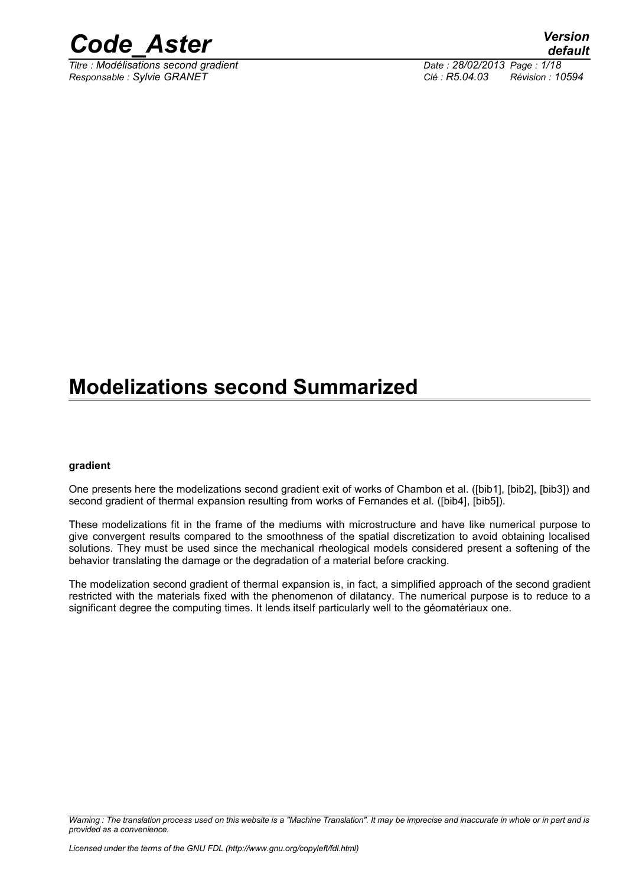

*Titre : Modélisations second gradient Date : 28/02/2013 Page : 1/18 Responsable : Sylvie GRANET Clé : R5.04.03 Révision : 10594*

### **Modelizations second Summarized**

#### **gradient**

One presents here the modelizations second gradient exit of works of Chambon et al. ([bib1], [bib2], [bib3]) and second gradient of thermal expansion resulting from works of Fernandes et al. ([bib4], [bib5]).

These modelizations fit in the frame of the mediums with microstructure and have like numerical purpose to give convergent results compared to the smoothness of the spatial discretization to avoid obtaining localised solutions. They must be used since the mechanical rheological models considered present a softening of the behavior translating the damage or the degradation of a material before cracking.

The modelization second gradient of thermal expansion is, in fact, a simplified approach of the second gradient restricted with the materials fixed with the phenomenon of dilatancy. The numerical purpose is to reduce to a significant degree the computing times. It lends itself particularly well to the géomatériaux one.

*Warning : The translation process used on this website is a "Machine Translation". It may be imprecise and inaccurate in whole or in part and is provided as a convenience.*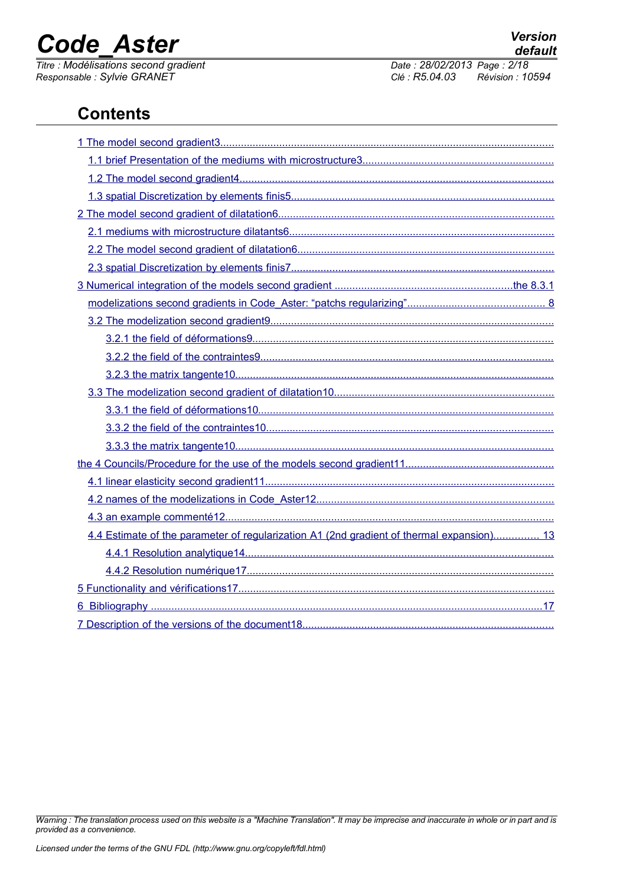*Responsable : Sylvie GRANET Clé : R5.04.03 Révision : 10594*

*Titre : Modélisations second gradient Date : 28/02/2013 Page : 2/18*

### **Contents**

| 4.4 Estimate of the parameter of regularization A1 (2nd gradient of thermal expansion) 13 |
|-------------------------------------------------------------------------------------------|
|                                                                                           |
|                                                                                           |
|                                                                                           |
|                                                                                           |
|                                                                                           |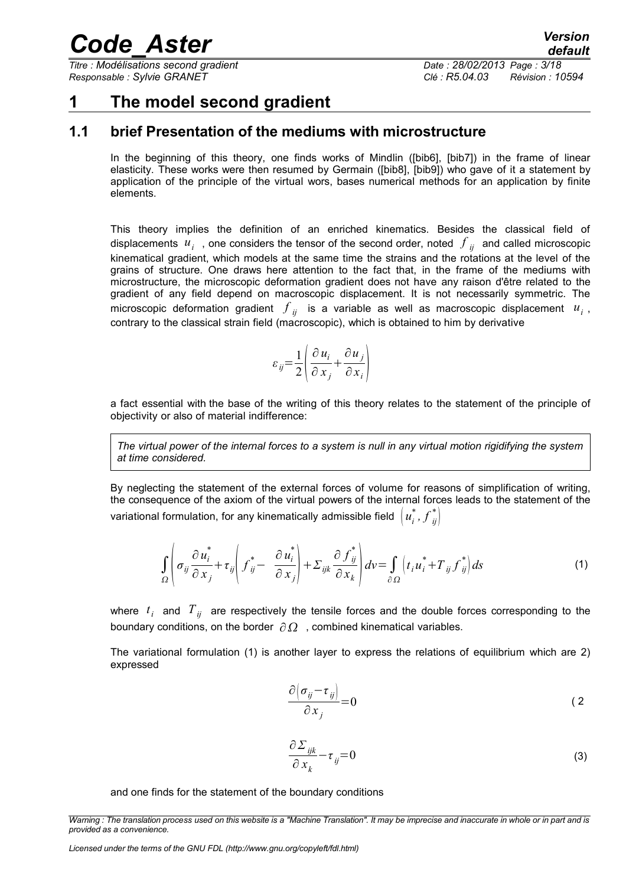*Titre : Modélisations second gradient Date : 28/02/2013 Page : 3/18 Responsable : Sylvie GRANET Clé : R5.04.03 Révision : 10594*

### <span id="page-2-0"></span>**1 The model second gradient**

#### **1.1 brief Presentation of the mediums with microstructure**

<span id="page-2-1"></span>In the beginning of this theory, one finds works of Mindlin ([bib6], [bib7]) in the frame of linear elasticity. These works were then resumed by Germain ([bib8], [bib9]) who gave of it a statement by application of the principle of the virtual wors, bases numerical methods for an application by finite elements.

This theory implies the definition of an enriched kinematics. Besides the classical field of displacements  $|u_i|$  , one considers the tensor of the second order, noted  $|{\bf \boldsymbol{f}}|_{ij}$  and called microscopic kinematical gradient, which models at the same time the strains and the rotations at the level of the grains of structure. One draws here attention to the fact that, in the frame of the mediums with microstructure, the microscopic deformation gradient does not have any raison d'être related to the gradient of any field depend on macroscopic displacement. It is not necessarily symmetric. The microscopic deformation gradient  $\left. f_{\phantom{i}ji}\right.$  is a variable as well as macroscopic displacement  $\left. u_{\phantom{i}i}\right.$ contrary to the classical strain field (macroscopic), which is obtained to him by derivative

$$
\varepsilon_{ij} = \frac{1}{2} \left( \frac{\partial u_i}{\partial x_j} + \frac{\partial u_j}{\partial x_i} \right)
$$

a fact essential with the base of the writing of this theory relates to the statement of the principle of objectivity or also of material indifference:

*The virtual power of the internal forces to a system is null in any virtual motion rigidifying the system at time considered.*

By neglecting the statement of the external forces of volume for reasons of simplification of writing, the consequence of the axiom of the virtual powers of the internal forces leads to the statement of the variational formulation, for any kinematically admissible field  $\left(u^*_i,f^*_{\vec{y}}\right)$  $\binom{*}{ii}$ 

$$
\int_{\Omega} \left( \sigma_{ij} \frac{\partial u_i^*}{\partial x_j} + \tau_{ij} \left( f_{ij}^* - \frac{\partial u_i^*}{\partial x_j} \right) + \Sigma_{ijk} \frac{\partial f_{ij}^*}{\partial x_k} \right) dv = \int_{\partial \Omega} \left( t_i u_i^* + T_{ij} f_{ij}^* \right) ds \tag{1}
$$

where *t <sup>i</sup>* and *Tij* are respectively the tensile forces and the double forces corresponding to the boundary conditions, on the border  $\partial \Omega$ , combined kinematical variables.

The variational formulation [\(1\)](#page-2-2) is another layer to express the relations of equilibrium which are 2) expressed

<span id="page-2-2"></span>
$$
\frac{\partial (\sigma_{ij} - \tau_{ij})}{\partial x_j} = 0
$$
 (2)

$$
\frac{\partial \Sigma_{ijk}}{\partial x_k} - \tau_{ij} = 0 \tag{3}
$$

and one finds for the statement of the boundary conditions

*Licensed under the terms of the GNU FDL (http://www.gnu.org/copyleft/fdl.html)*

*Warning : The translation process used on this website is a "Machine Translation". It may be imprecise and inaccurate in whole or in part and is provided as a convenience.*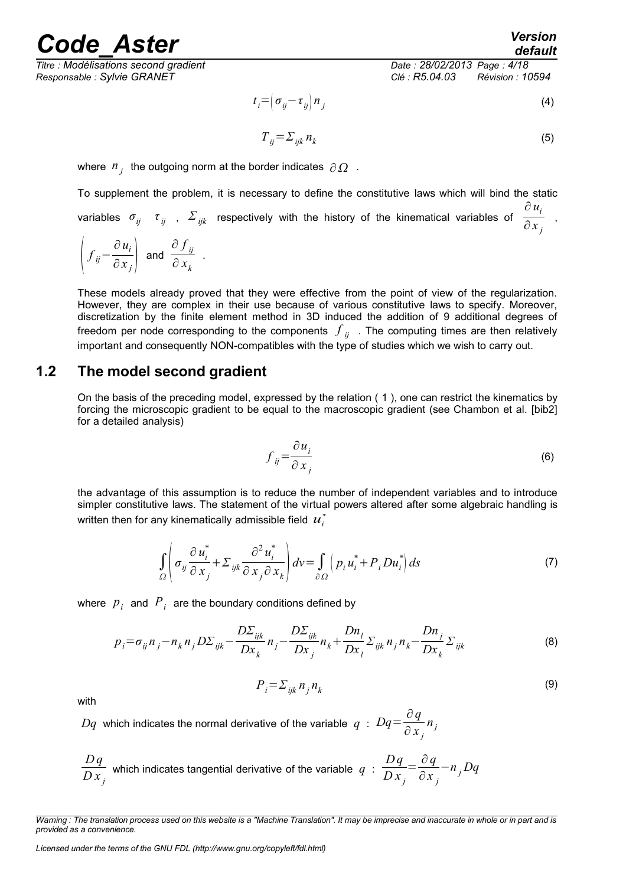readed Aster *Version* 

*Titre : Modélisations second gradient Date : 28/02/2013 Page : 4/18 Responsable : Sylvie GRANET Clé : R5.04.03 Révision : 10594*

$$
t_i = \left(\sigma_{ij} - \tau_{ij}\right) n_j \tag{4}
$$

$$
T_{ij} = \sum_{ijk} n_k \tag{5}
$$

where  $n_j^+$  the outgoing norm at the border indicates  $\partial \Omega^-$ .

To supplement the problem, it is necessary to define the constitutive laws which will bind the static variables  $\sigma_{ij}$   $\tau_{ij}$  ,  $\Sigma_{ijk}$  respectively with the history of the kinematical variables of  $\cdot$ ∂ *u<sup>i</sup>*  $\frac{i}{\partial x_j}$ ,

$$
\left(f_{ij} - \frac{\partial u_i}{\partial x_j}\right)
$$
 and  $\frac{\partial f_{ij}}{\partial x_k}$ .

These models already proved that they were effective from the point of view of the regularization. However, they are complex in their use because of various constitutive laws to specify. Moreover, discretization by the finite element method in 3D induced the addition of 9 additional degrees of freedom per node corresponding to the components  $\left. f_{\left. ij\right. }\right.$  . The computing times are then relatively important and consequently NON-compatibles with the type of studies which we wish to carry out.

#### **1.2 The model second gradient**

<span id="page-3-0"></span>On the basis of the preceding model, expressed by the relation ( [1](#page-2-2) ), one can restrict the kinematics by forcing the microscopic gradient to be equal to the macroscopic gradient (see Chambon et al. [bib2] for a detailed analysis)

$$
f_{ij} = \frac{\partial u_i}{\partial x_j} \tag{6}
$$

the advantage of this assumption is to reduce the number of independent variables and to introduce simpler constitutive laws. The statement of the virtual powers altered after some algebraic handling is written then for any kinematically admissible field  $u_i^*$ 

$$
\int_{\Omega} \left( \sigma_{ij} \frac{\partial u_i^*}{\partial x_j} + \Sigma_{ijk} \frac{\partial^2 u_i^*}{\partial x_j \partial x_k} \right) dv = \int_{\partial \Omega} \left( p_i u_i^* + P_i D u_i^* \right) ds \tag{7}
$$

where  $p_i$  and  $P_i$  are the boundary conditions defined by

$$
p_i = \sigma_{ij} n_j - n_k n_j D\Sigma_{ijk} - \frac{D\Sigma_{ijk}}{D\mathbf{x}_k} n_j - \frac{D\Sigma_{ijk}}{D\mathbf{x}_j} n_k + \frac{Dn_l}{D\mathbf{x}_l} \Sigma_{ijk} n_j n_k - \frac{Dn_j}{D\mathbf{x}_k} \Sigma_{ijk}
$$
(8)

with

$$
P_i = \sum_{ijk} n_j \, n_k
$$

 $Dq$  which indicates the normal derivative of the variable  $q$ :  $Dq = \frac{\partial q}{\partial q}$ ∂ *x <sup>j</sup> nj*

$$
\frac{Dq}{D x_j}
$$
 which indicates tangential derivative of the variable  $q$  :  $\frac{Dq}{D x_j} = \frac{\partial q}{\partial x_j} - n_j Dq$ 

<span id="page-3-2"></span><span id="page-3-1"></span>(9)

*Warning : The translation process used on this website is a "Machine Translation". It may be imprecise and inaccurate in whole or in part and is provided as a convenience.*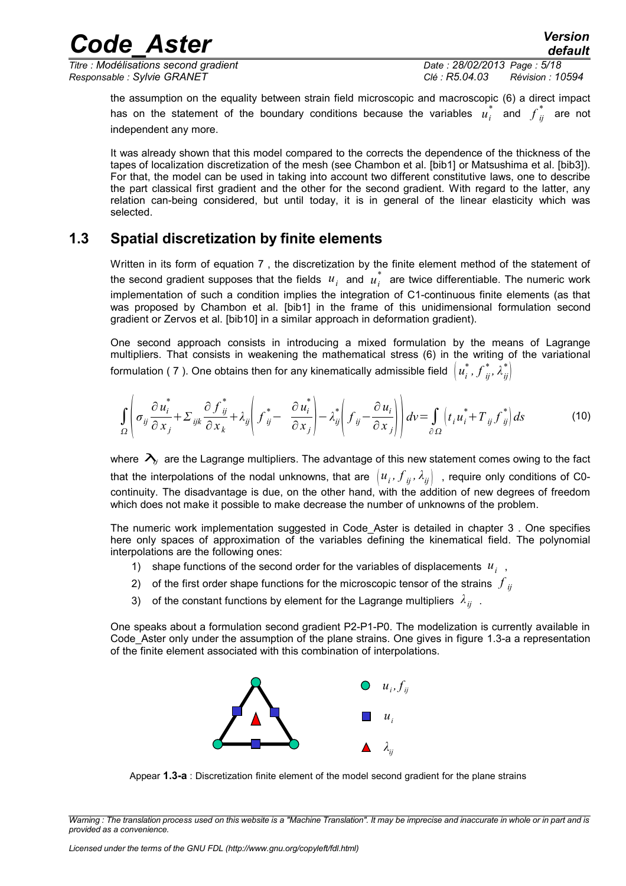*Titre : Modélisations second gradient Date : 28/02/2013 Page : 5/18 Responsable : Sylvie GRANET Clé : R5.04.03 Révision : 10594*

the assumption on the equality between strain field microscopic and macroscopic [\(6\)](#page-3-2) a direct impact has on the statement of the boundary conditions because the variables  $u_i^*$  and  $f_{ij}^*$  $i$  are not independent any more.

It was already shown that this model compared to the corrects the dependence of the thickness of the tapes of localization discretization of the mesh (see Chambon et al. [bib1] or Matsushima et al. [bib3]). For that, the model can be used in taking into account two different constitutive laws, one to describe the part classical first gradient and the other for the second gradient. With regard to the latter, any relation can-being considered, but until today, it is in general of the linear elasticity which was selected.

#### **1.3 Spatial discretization by finite elements**

<span id="page-4-0"></span>Written in its form of equation [7](#page-3-1) , the discretization by the finite element method of the statement of the second gradient supposes that the fields  $|u^+_i|$  and  $|u^*_i|$  are twice differentiable. The numeric work implementation of such a condition implies the integration of C1-continuous finite elements (as that was proposed by Chambon et al. [bib1] in the frame of this unidimensional formulation second gradient or Zervos et al. [bib10] in a similar approach in deformation gradient).

One second approach consists in introducing a mixed formulation by the means of Lagrange multipliers. That consists in weakening the mathematical stress [\(6\)](#page-3-2) in the writing of the variational formulation ( [7](#page-3-1) ). One obtains then for any kinematically admissible field  $\left(u^*_i,f^*_{ij}\right)$  $\left\{\begin{matrix} * & * \ i_j, \lambda^*_{ij} \end{matrix}\right\}$ 

$$
\int_{\Omega} \left( \sigma_{ij} \frac{\partial u_i^*}{\partial x_j} + \Sigma_{ijk} \frac{\partial f_{ij}^*}{\partial x_k} + \lambda_{ij} \left( f_{ij}^* - \frac{\partial u_i^*}{\partial x_j} \right) - \lambda_{ij}^* \left( f_{ij} - \frac{\partial u_i}{\partial x_j} \right) \right) dv = \int_{\partial \Omega} \left( t_i u_i^* + T_{ij} f_{ij}^* \right) ds \tag{10}
$$

where  $\lambda_i$  are the Lagrange multipliers. The advantage of this new statement comes owing to the fact that the interpolations of the nodal unknowns, that are  $\, [u_i^{},f_{\bar{i}j}^{},\lambda_{\bar{i}j}^{}\,]~$  , require only conditions of C0continuity. The disadvantage is due, on the other hand, with the addition of new degrees of freedom which does not make it possible to make decrease the number of unknowns of the problem.

The numeric work implementation suggested in Code\_Aster is detailed in chapter [3](#page-7-1) . One specifies here only spaces of approximation of the variables defining the kinematical field. The polynomial interpolations are the following ones:

- 1) shape functions of the second order for the variables of displacements  $u_i$ ,
- 2)  $\,$  of the first order shape functions for the microscopic tensor of the strains  $\,f_{i j}$
- 3) of the constant functions by element for the Lagrange multipliers *λij* .

One speaks about a formulation second gradient P2-P1-P0. The modelization is currently available in Code Aster only under the assumption of the plane strains. One gives in figure [1.3-a](#page-4-1) a representation of the finite element associated with this combination of interpolations.



<span id="page-4-1"></span>Appear **1.3-a** : Discretization finite element of the model second gradient for the plane strains

*Warning : The translation process used on this website is a "Machine Translation". It may be imprecise and inaccurate in whole or in part and is provided as a convenience.*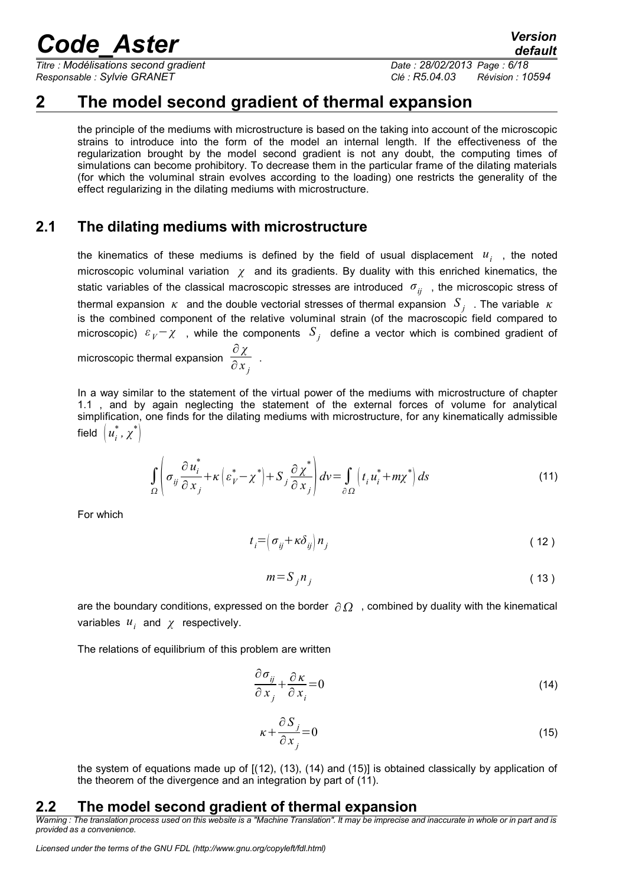*Titre : Modélisations second gradient Date : 28/02/2013 Page : 6/18 Responsable : Sylvie GRANET Clé : R5.04.03 Révision : 10594*

### **2 The model second gradient of thermal expansion**

<span id="page-5-2"></span>the principle of the mediums with microstructure is based on the taking into account of the microscopic strains to introduce into the form of the model an internal length. If the effectiveness of the regularization brought by the model second gradient is not any doubt, the computing times of simulations can become prohibitory. To decrease them in the particular frame of the dilating materials (for which the voluminal strain evolves according to the loading) one restricts the generality of the effect regularizing in the dilating mediums with microstructure.

#### **2.1 The dilating mediums with microstructure**

<span id="page-5-1"></span>the kinematics of these mediums is defined by the field of usual displacement  $u_i$ , the noted microscopic voluminal variation *χ* and its gradients. By duality with this enriched kinematics, the static variables of the classical macroscopic stresses are introduced *σij* , the microscopic stress of thermal expansion *κ* and the double vectorial stresses of thermal expansion *S <sup>j</sup>* . The variable *κ* is the combined component of the relative voluminal strain (of the macroscopic field compared to microscopic)  $\varepsilon_V$ − $\chi$  , while the components  $S_j$  define a vector which is combined gradient of microscopic thermal expansion ∂ *χ*  $\frac{\pi}{\partial x_j}$ .

In a way similar to the statement of the virtual power of the mediums with microstructure of chapter [1.1](#page-2-1) , and by again neglecting the statement of the external forces of volume for analytical simplification, one finds for the dilating mediums with microstructure, for any kinematically admissible field  $\left(u_i^*, x^*\right)$ 

$$
\int_{\Omega} \left( \sigma_{ij} \frac{\partial u_i^*}{\partial x_j} + \kappa \left( \varepsilon_{i'}^* - \chi^* \right) + S_j \frac{\partial \chi^*}{\partial x_j} \right) dv = \int_{\partial \Omega} \left( t_i u_i^* + m \chi^* \right) ds \tag{11}
$$

For which

$$
t_i = \left(\sigma_{ij} + \kappa \delta_{ij}\right) n_j \tag{12}
$$

<span id="page-5-7"></span><span id="page-5-6"></span><span id="page-5-3"></span>
$$
m = S_j n_j \tag{13}
$$

are the boundary conditions, expressed on the border  $\partial \Omega$ , combined by duality with the kinematical variables *u<sup>i</sup>* and *χ* respectively.

The relations of equilibrium of this problem are written

$$
\frac{\partial \sigma_{ij}}{\partial x_j} + \frac{\partial \kappa}{\partial x_i} = 0 \tag{14}
$$

<span id="page-5-5"></span><span id="page-5-4"></span>
$$
\kappa + \frac{\partial S_j}{\partial x_j} = 0 \tag{15}
$$

<span id="page-5-0"></span>the system of equations made up of [[\(12\)](#page-5-7), [\(13\)](#page-5-6), [\(14\)](#page-5-5) and [\(15\)](#page-5-4)] is obtained classically by application of the theorem of the divergence and an integration by part of [\(11\)](#page-5-3).

#### **2.2 The model second gradient of thermal expansion**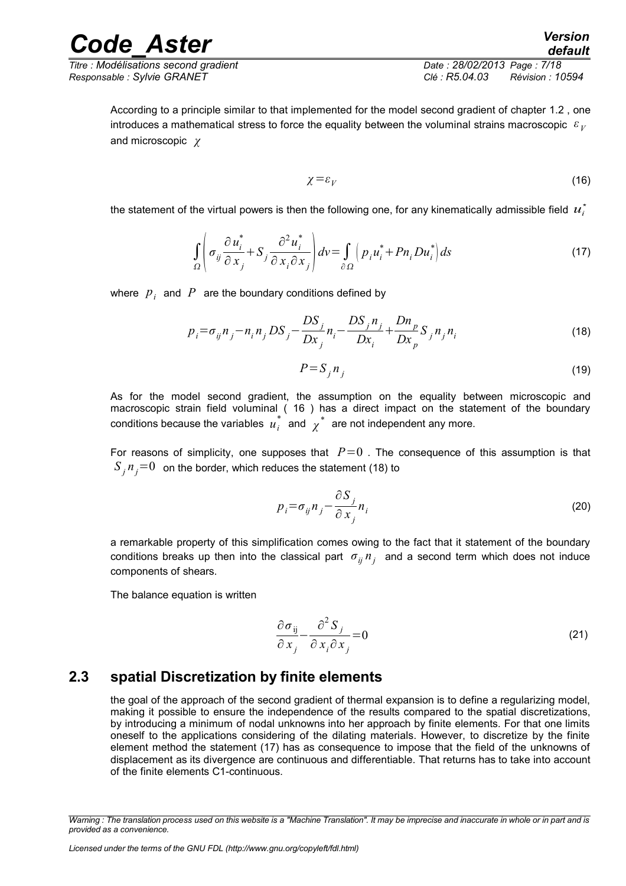*Titre : Modélisations second gradient Date : 28/02/2013 Page : 7/18 Responsable : Sylvie GRANET Clé : R5.04.03 Révision : 10594*

<span id="page-6-3"></span><span id="page-6-1"></span>

According to a principle similar to that implemented for the model second gradient of chapter [1.2](#page-3-0) , one introduces a mathematical stress to force the equality between the voluminal strains macroscopic  $|{\varepsilon}|_{\bar{V}}$ and microscopic *χ*

$$
\chi = \varepsilon_V \tag{16}
$$

the statement of the virtual powers is then the following one, for any kinematically admissible field  $u_i^*$ 

$$
\int_{\Omega} \left( \sigma_{ij} \frac{\partial u_i^*}{\partial x_j} + S_j \frac{\partial^2 u_i^*}{\partial x_i \partial x_j} \right) dv = \int_{\partial \Omega} \left( p_i u_i^* + P n_i D u_i^* \right) ds \tag{17}
$$

where  $|p_{i}|$  and  $|P|$  are the boundary conditions defined by

$$
p_i = \sigma_{ij} n_j - n_i n_j DS_j - \frac{DS_j}{Dx_j} n_i - \frac{DS_j n_j}{Dx_i} + \frac{Dn_p}{Dx_p} S_j n_j n_i
$$
\n(18)

<span id="page-6-2"></span>
$$
P = S_j n_j \tag{19}
$$

As for the model second gradient, the assumption on the equality between microscopic and macroscopic strain field voluminal ( [16](#page-6-3) ) has a direct impact on the statement of the boundary conditions because the variables  $u_i^*$  and  $\chi^*$  are not independent any more.

For reasons of simplicity, one supposes that  $P=0$ . The consequence of this assumption is that  $S^{\phantom{\dagger}}_{j}n^{\phantom{\dagger}}_{j}{=}0~$  on the border, which reduces the statement [\(18\)](#page-6-2) to

<span id="page-6-4"></span>
$$
p_i = \sigma_{ij} n_j - \frac{\partial S_j}{\partial x_j} n_i
$$
 (20)

a remarkable property of this simplification comes owing to the fact that it statement of the boundary conditions breaks up then into the classical part *σij n<sup>j</sup>* and a second term which does not induce components of shears.

The balance equation is written

$$
\frac{\partial \sigma_{ij}}{\partial x_j} - \frac{\partial^2 S_j}{\partial x_i \partial x_j} = 0
$$
\n(21)

#### **2.3 spatial Discretization by finite elements**

<span id="page-6-0"></span>the goal of the approach of the second gradient of thermal expansion is to define a regularizing model, making it possible to ensure the independence of the results compared to the spatial discretizations, by introducing a minimum of nodal unknowns into her approach by finite elements. For that one limits oneself to the applications considering of the dilating materials. However, to discretize by the finite element method the statement [\(17\)](#page-6-1) has as consequence to impose that the field of the unknowns of displacement as its divergence are continuous and differentiable. That returns has to take into account of the finite elements C1-continuous.

*Warning : The translation process used on this website is a "Machine Translation". It may be imprecise and inaccurate in whole or in part and is provided as a convenience.*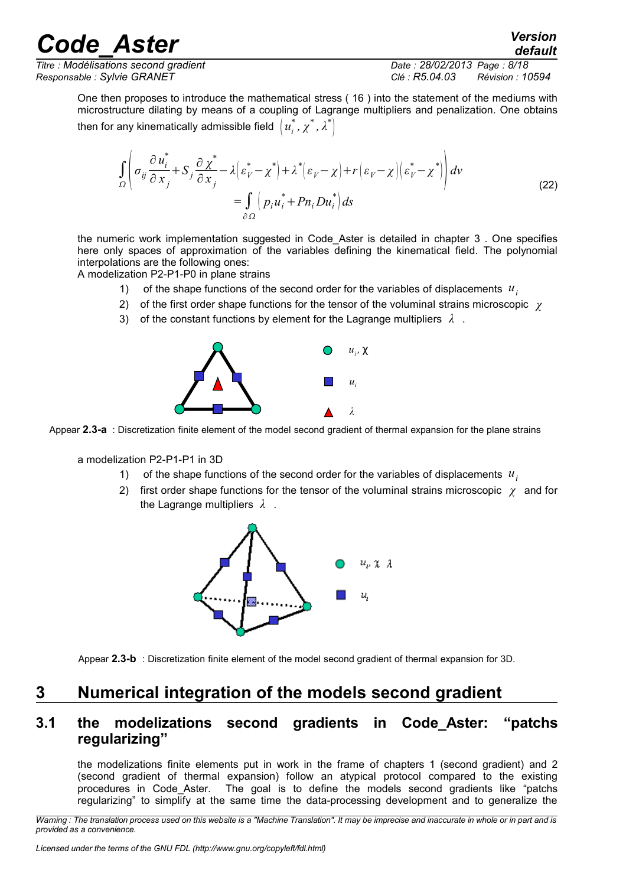*Titre : Modélisations second gradient Date : 28/02/2013 Page : 8/18 Responsable : Sylvie GRANET Clé : R5.04.03 Révision : 10594*

*default*

One then proposes to introduce the mathematical stress ( [16](#page-6-3) ) into the statement of the mediums with microstructure dilating by means of a coupling of Lagrange multipliers and penalization. One obtains then for any kinematically admissible field  $\left(u_i^*, \chi^*, \lambda^* \right)$ 

$$
\int_{\Omega} \left( \sigma_{ij} \frac{\partial u_i^*}{\partial x_j} + S_j \frac{\partial \chi^*}{\partial x_j} - \lambda \left( \varepsilon_V^* - \chi^* \right) + \lambda^* \left( \varepsilon_V - \chi \right) + r \left( \varepsilon_V - \chi \right) \left( \varepsilon_V^* - \chi^* \right) \right) dv
$$
\n
$$
= \int_{\partial \Omega} \left( p_i u_i^* + P n_i D u_i^* \right) ds
$$
\n(22)

the numeric work implementation suggested in Code\_Aster is detailed in chapter [3](#page-7-1) . One specifies here only spaces of approximation of the variables defining the kinematical field. The polynomial interpolations are the following ones:

A modelization P2-P1-P0 in plane strains

- 1) of the shape functions of the second order for the variables of displacements *u<sup>i</sup>*
- 2) of the first order shape functions for the tensor of the voluminal strains microscopic *χ*
- 3) of the constant functions by element for the Lagrange multipliers *λ* .



Appear **2.3-a** : Discretization finite element of the model second gradient of thermal expansion for the plane strains

a modelization P2-P1-P1 in 3D

- 1) of the shape functions of the second order for the variables of displacements *u<sup>i</sup>*
- 2) first order shape functions for the tensor of the voluminal strains microscopic *χ* and for the Lagrange multipliers *λ* .



<span id="page-7-1"></span>

### **3 Numerical integration of the models second gradient**

#### <span id="page-7-0"></span>**3.1 the modelizations second gradients in Code\_Aster: "patchs regularizing"**

the modelizations finite elements put in work in the frame of chapters [1](#page-2-0) (second gradient) and [2](#page-5-2) (second gradient of thermal expansion) follow an atypical protocol compared to the existing procedures in Code\_Aster. The goal is to define the models second gradients like "patchs regularizing" to simplify at the same time the data-processing development and to generalize the

*Warning : The translation process used on this website is a "Machine Translation". It may be imprecise and inaccurate in whole or in part and is provided as a convenience.*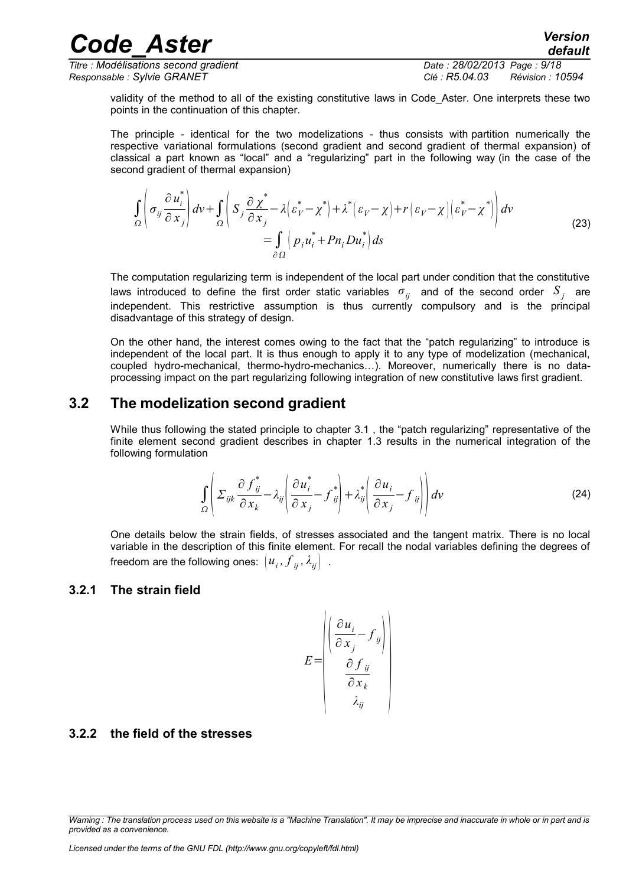*Code\_Aster Version Titre : Modélisations second gradient Date : 28/02/2013 Page : 9/18*

*Responsable : Sylvie GRANET Clé : R5.04.03 Révision : 10594*

validity of the method to all of the existing constitutive laws in Code Aster. One interprets these two points in the continuation of this chapter.

The principle - identical for the two modelizations - thus consists with partition numerically the respective variational formulations (second gradient and second gradient of thermal expansion) of classical a part known as "local" and a "regularizing" part in the following way (in the case of the second gradient of thermal expansion)

$$
\int_{\Omega} \left( \sigma_{ij} \frac{\partial u_i^*}{\partial x_j} \right) dv + \int_{\Omega} \left( S_j \frac{\partial \chi^*}{\partial x_j} - \lambda \left( \varepsilon_V^* - \chi^* \right) + \lambda^* \left( \varepsilon_V - \chi \right) + r \left( \varepsilon_V - \chi \right) \left( \varepsilon_V^* - \chi^* \right) \right) dv
$$
\n
$$
= \int_{\partial \Omega} \left( p_i u_i^* + P n_i D u_i^* \right) ds
$$
\n(23)

The computation regularizing term is independent of the local part under condition that the constitutive laws introduced to define the first order static variables  $\sigma_{ij}^{\phantom{\dag}}$  and of the second order  $\overline{S}_{j}^{\phantom{\dag}}$  are independent. This restrictive assumption is thus currently compulsory and is the principal disadvantage of this strategy of design.

On the other hand, the interest comes owing to the fact that the "patch regularizing" to introduce is independent of the local part. It is thus enough to apply it to any type of modelization (mechanical, coupled hydro-mechanical, thermo-hydro-mechanics…). Moreover, numerically there is no dataprocessing impact on the part regularizing following integration of new constitutive laws first gradient.

#### **3.2 The modelization second gradient**

<span id="page-8-2"></span>While thus following the stated principle to chapter [3.1](#page-7-0), the "patch regularizing" representative of the finite element second gradient describes in chapter [1.3](#page-4-0) results in the numerical integration of the following formulation

$$
\int_{\Omega} \left( \Sigma_{ijk} \frac{\partial f_{ij}^*}{\partial x_k} - \lambda_{ij} \left( \frac{\partial u_i^*}{\partial x_j} - f_{ij}^* \right) + \lambda_{ij}^* \left( \frac{\partial u_i}{\partial x_j} - f_{ij} \right) \right) dv \tag{24}
$$

One details below the strain fields, of stresses associated and the tangent matrix. There is no local variable in the description of this finite element. For recall the nodal variables defining the degrees of freedom are the following ones:  $\left(u_{\overline{i}}, f_{\overline{i}\overline{j}}, \lambda_{\overline{i}\overline{j}}\right)$  .

#### <span id="page-8-1"></span>**3.2.1 The strain field**

$$
E = \begin{pmatrix} \frac{\partial u_i}{\partial x_j} - f_{ij} \\ \frac{\partial f_{ij}}{\partial x_k} \\ \frac{\partial f_{ij}}{\partial x_k} \end{pmatrix}
$$

#### <span id="page-8-0"></span>**3.2.2 the field of the stresses**

*Warning : The translation process used on this website is a "Machine Translation". It may be imprecise and inaccurate in whole or in part and is provided as a convenience.*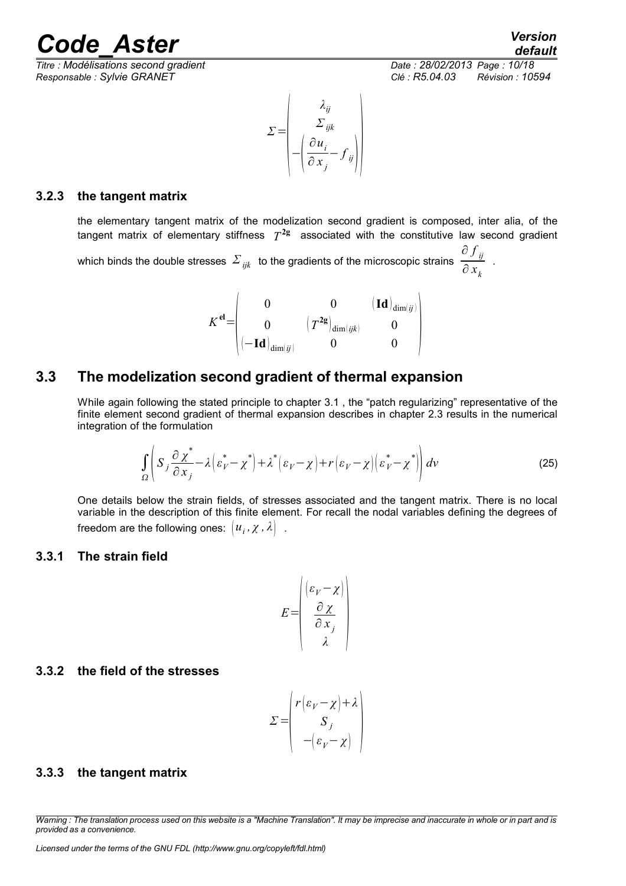*Titre : Modélisations second gradient Date : 28/02/2013 Page : 10/18 Responsable : Sylvie GRANET Clé : R5.04.03 Révision : 10594*



$$
\Sigma = \begin{pmatrix} \lambda_{ij} \\ \Sigma_{ijk} \\ -\left(\frac{\partial u_i}{\partial x_j} - f_{ij}\right) \end{pmatrix}
$$

#### **3.2.3 the tangent matrix**

<span id="page-9-4"></span>the elementary tangent matrix of the modelization second gradient is composed, inter alia, of the tangent matrix of elementary stiffness *T* **2g** associated with the constitutive law second gradient

which binds the double stresses *Σ ijk* to the gradients of the microscopic strains ∂ *f ij*  $\frac{\partial}{\partial x_k}$ .

|         |                                         |                                                | $\mathbf{(Id)}_{\dim (ij)}$ । |  |
|---------|-----------------------------------------|------------------------------------------------|-------------------------------|--|
| $r$ -el |                                         | $\langle T^{2\mathsf g}\rangle$<br>$\dim(ijk)$ |                               |  |
|         | $\mathbf{H} - \mathbf{Id}$<br>$\dim(j)$ |                                                |                               |  |

#### **3.3 The modelization second gradient of thermal expansion**

<span id="page-9-3"></span>While again following the stated principle to chapter [3.1](#page-7-0) , the "patch regularizing" representative of the finite element second gradient of thermal expansion describes in chapter [2.3](#page-6-0) results in the numerical integration of the formulation

$$
\int_{\Omega} \left( S_j \frac{\partial \chi^*}{\partial x_j} - \lambda \left( \varepsilon_V^* - \chi^* \right) + \lambda^* \left( \varepsilon_V - \chi \right) + r \left( \varepsilon_V - \chi \right) \left( \varepsilon_V^* - \chi^* \right) \right) dv \tag{25}
$$

One details below the strain fields, of stresses associated and the tangent matrix. There is no local variable in the description of this finite element. For recall the nodal variables defining the degrees of freedom are the following ones:  $\big\lbrack u_{i},\chi$  ,  $\lambda \big\rbrack$  .

#### <span id="page-9-2"></span>**3.3.1 The strain field**

$$
E = \begin{pmatrix} \n\left(\varepsilon_V - \chi\right) \\ \n\frac{\partial \chi}{\partial x_j} \\ \n\lambda\n\end{pmatrix}
$$

#### <span id="page-9-1"></span>**3.3.2 the field of the stresses**

$$
\Sigma = \begin{pmatrix} r(\varepsilon_V - \chi) + \lambda \\ S_j \\ -(\varepsilon_V - \chi) \end{pmatrix}
$$

#### <span id="page-9-0"></span>**3.3.3 the tangent matrix**

*Warning : The translation process used on this website is a "Machine Translation". It may be imprecise and inaccurate in whole or in part and is provided as a convenience.*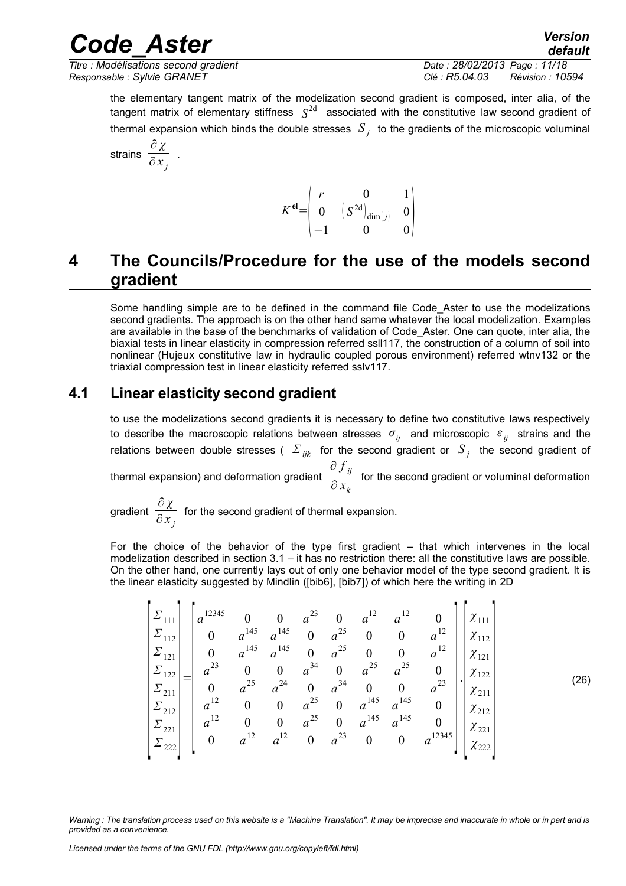*Responsable : Sylvie GRANET Clé : R5.04.03 Révision : 10594*

*Titre : Modélisations second gradient Date : 28/02/2013 Page : 11/18*

*default*

the elementary tangent matrix of the modelization second gradient is composed, inter alia, of the tangent matrix of elementary stiffness *S* 2d associated with the constitutive law second gradient of thermal expansion which binds the double stresses  $\left. S_{\,j}\right.$  to the gradients of the microscopic voluminal

$$
\text{strains } \frac{\partial \chi}{\partial x_j}
$$

.

$$
K^{\mathbf{el}} = \begin{pmatrix} r & 0 & 1 \\ 0 & (S^{2\mathbf{d}})_{\dim(j)} & 0 \\ -1 & 0 & 0 \end{pmatrix}
$$

### <span id="page-10-1"></span>**4 The Councils/Procedure for the use of the models second gradient**

Some handling simple are to be defined in the command file Code\_Aster to use the modelizations second gradients. The approach is on the other hand same whatever the local modelization. Examples are available in the base of the benchmarks of validation of Code Aster. One can quote, inter alia, the biaxial tests in linear elasticity in compression referred ssll117, the construction of a column of soil into nonlinear (Hujeux constitutive law in hydraulic coupled porous environment) referred wtnv132 or the triaxial compression test in linear elasticity referred sslv117.

#### **4.1 Linear elasticity second gradient**

<span id="page-10-0"></span>to use the modelizations second gradients it is necessary to define two constitutive laws respectively to describe the macroscopic relations between stresses *σij* and microscopic *ε ij* strains and the relations between double stresses ( *Σ ijk* for the second gradient or *S <sup>j</sup>* the second gradient of thermal expansion) and deformation gradient ∂ *f ij*  $\frac{\partial^2 u}{\partial x_k}$  for the second gradient or voluminal deformation

gradient ∂ *χ*  $\frac{\partial}{\partial x_j}$  for the second gradient of thermal expansion.

For the choice of the behavior of the type first gradient – that which intervenes in the local modelization described in section [3.1](#page-7-0) – it has no restriction there: all the constitutive laws are possible. On the other hand, one currently lays out of only one behavior model of the type second gradient. It is the linear elasticity suggested by Mindlin ([bib6], [bib7]) of which here the writing in 2D

<span id="page-10-2"></span>
$$
\begin{bmatrix}\n\Sigma_{111} \\
\Sigma_{112} \\
\Sigma_{121} \\
\Sigma_{122} \\
\Sigma_{121} \\
\Sigma_{211} \\
\Sigma_{212} \\
\Sigma_{212} \\
\Sigma_{222}\n\end{bmatrix} = \begin{bmatrix}\na^{12345} & 0 & 0 & a^{23} & 0 & a^{12} & a^{12} & 0 \\
0 & a^{145} & a^{145} & 0 & a^{25} & 0 & 0 & a^{12} \\
0 & a^{145} & a^{145} & 0 & a^{25} & 0 & 0 & a^{12} \\
a^{23} & 0 & 0 & a^{34} & 0 & a^{25} & a^{25} & 0 \\
0 & a^{25} & a^{24} & 0 & a^{34} & 0 & 0 & a^{23} \\
a^{12} & 0 & 0 & a^{25} & 0 & a^{145} & a^{145} & 0 \\
a^{12} & 0 & 0 & a^{25} & 0 & a^{145} & a^{145} & 0 \\
a^{12} & 0 & 0 & a^{25} & 0 & a^{145} & a^{145} & 0 \\
a^{12} & a^{12} & a^{12} & 0 & a^{23} & 0 & 0 & a^{12345}\n\end{bmatrix}\n\begin{bmatrix}\n\chi_{111} \\
\chi_{112} \\
\chi_{121} \\
\chi_{122} \\
\chi_{211} \\
\chi_{212} \\
\chi_{222}\n\end{bmatrix}
$$
\n(26)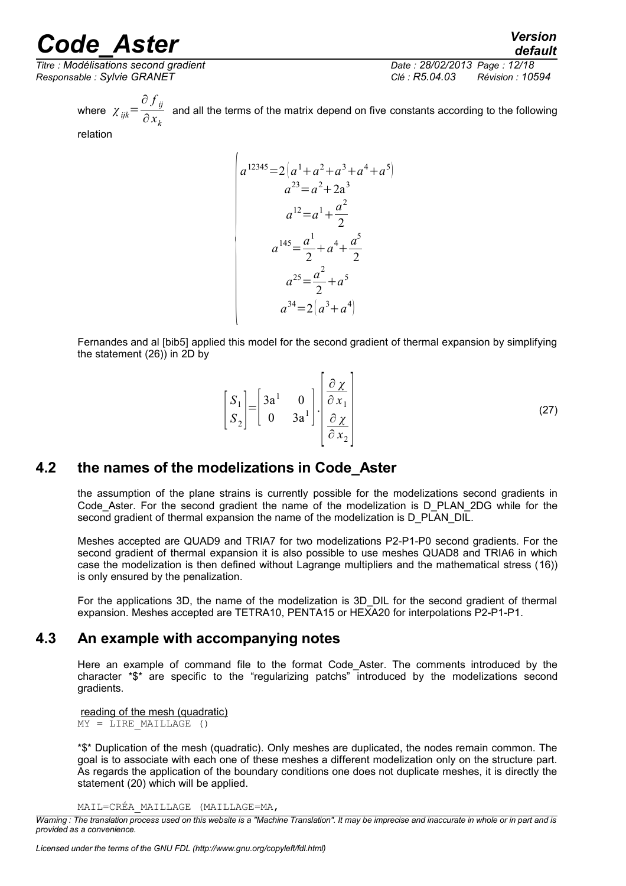*Titre : Modélisations second gradient Date : 28/02/2013 Page : 12/18 Responsable : Sylvie GRANET Clé : R5.04.03 Révision : 10594*

*default*

where  $\chi_{ijk}$ = ∂ *f ij*  $\frac{v}{\partial x_k}$  and all the terms of the matrix depend on five constants according to the following  $\frac{\partial x_k}{\partial x_k}$ 

relation

$$
a^{12345} = 2\left(a^{1} + a^{2} + a^{3} + a^{4} + a^{5}\right)
$$
  
\n
$$
a^{23} = a^{2} + 2a^{3}
$$
  
\n
$$
a^{12} = a^{1} + \frac{a^{2}}{2}
$$
  
\n
$$
a^{145} = \frac{a^{1}}{2} + a^{4} + \frac{a^{5}}{2}
$$
  
\n
$$
a^{25} = \frac{a^{2}}{2} + a^{5}
$$
  
\n
$$
a^{34} = 2\left(a^{3} + a^{4}\right)
$$

Fernandes and al [bib5] applied this model for the second gradient of thermal expansion by simplifying the statement [\(26\)](#page-10-2)) in 2D by

$$
\begin{bmatrix} S_1 \\ S_2 \end{bmatrix} = \begin{bmatrix} 3a^1 & 0 \\ 0 & 3a^1 \end{bmatrix} \cdot \begin{bmatrix} \frac{\partial \chi}{\partial x_1} \\ \frac{\partial \chi}{\partial x_2} \end{bmatrix}
$$
 (27)

#### **4.2 the names of the modelizations in Code\_Aster**

<span id="page-11-1"></span>the assumption of the plane strains is currently possible for the modelizations second gradients in Code Aster. For the second gradient the name of the modelization is D\_PLAN\_2DG while for the second gradient of thermal expansion the name of the modelization is D\_PLAN\_DIL.

Meshes accepted are QUAD9 and TRIA7 for two modelizations P2-P1-P0 second gradients. For the second gradient of thermal expansion it is also possible to use meshes QUAD8 and TRIA6 in which case the modelization is then defined without Lagrange multipliers and the mathematical stress ([16\)](#page-6-3)) is only ensured by the penalization.

For the applications 3D, the name of the modelization is 3D\_DIL for the second gradient of thermal expansion. Meshes accepted are TETRA10, PENTA15 or HEXA20 for interpolations P2-P1-P1.

#### **4.3 An example with accompanying notes**

<span id="page-11-0"></span>Here an example of command file to the format Code Aster. The comments introduced by the character \*\$\* are specific to the "regularizing patchs" introduced by the modelizations second gradients.

reading of the mesh (quadratic)  $MY = LINE MAILLAGE$  ()

\*\$\* Duplication of the mesh (quadratic). Only meshes are duplicated, the nodes remain common. The goal is to associate with each one of these meshes a different modelization only on the structure part. As regards the application of the boundary conditions one does not duplicate meshes, it is directly the statement [\(20\)](#page-6-4) which will be applied.

MAIL=CRÉA\_MAILLAGE (MAILLAGE=MA,

*Warning : The translation process used on this website is a "Machine Translation". It may be imprecise and inaccurate in whole or in part and is provided as a convenience.*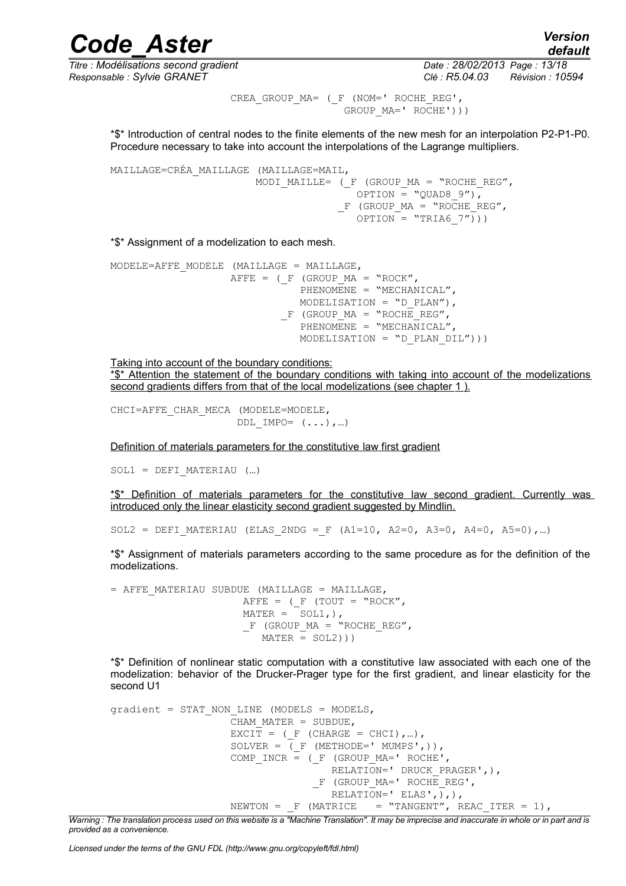*Responsable : Sylvie GRANET Clé : R5.04.03 Révision : 10594*

*Titre : Modélisations second gradient Date : 28/02/2013 Page : 13/18*

*default*

CREA GROUP MA= ( F (NOM=' ROCHE REG', GROUP MA=' ROCHE')))

\*\$\* Introduction of central nodes to the finite elements of the new mesh for an interpolation P2-P1-P0. Procedure necessary to take into account the interpolations of the Lagrange multipliers.

```
MAILLAGE=CRÉA_MAILLAGE (MAILLAGE=MAIL, 
                       MODI MAILLE= (F (GROUP MA = "ROCHE REG",
                                      OPTION = "OUAD8 9"),
                                    F (GROUP MA = "ROCHE REG",
                                      OPTION = "TRIA6 7"))
```
\*\$\* Assignment of a modelization to each mesh.

```
MODELE=AFFE_MODELE (MAILLAGE = MAILLAGE,
                   AFFE = (F (GROUP MA = "ROCK",
                              PHENOMENE = "MECHANICAL",
                              MODELISATION = "D PLAN"),
                           F (GROUP MA = "ROCHE REG",
                              PHENOMENE = "MECHANICAL"
                              MODELISATION = "D PLAN DIL"))
```
Taking into account of the boundary conditions: \*\$\* Attention the statement of the boundary conditions with taking into account of the modelizations second gradients differs from that of the local modelizations (see chapter [1](#page-2-0)).

```
CHCI=AFFE_CHAR_MECA (MODELE=MODELE,
                      DDL IMPO= ( \ldots), ...
```
Definition of materials parameters for the constitutive law first gradient

 $SOL1 = DEFI$  **MATERIAU**  $(...)$ 

\*\$\* Definition of materials parameters for the constitutive law second gradient. Currently was introduced only the linear elasticity second gradient suggested by Mindlin.

 $SOL2 = DEFI$  MATERIAU (ELAS 2NDG = F (A1=10, A2=0, A3=0, A4=0, A5=0),…)

\*\$\* Assignment of materials parameters according to the same procedure as for the definition of the modelizations.

= AFFE\_MATERIAU SUBDUE (MAILLAGE = MAILLAGE,  $A$ FFE = (F (TOUT = "ROCK",  $MATER = SOL1,$ ),  $F$  (GROUP  $MA = "ROCHE REG",$  $MATER = SOL2))$ 

\*\$\* Definition of nonlinear static computation with a constitutive law associated with each one of the modelization: behavior of the Drucker-Prager type for the first gradient, and linear elasticity for the second U1

```
gradient = STAT NON LINE (MODELS = MODELS,CHAM MATER = SUBDUE,
                   EXCIT = (F (CHARGE = CHCI), ...),
                   SOLVER = (F \times F) (METHODE=' MUMPS',)),
                   COMP INCR = (F (GROUP MA=' ROCHE',RELATION=' DRUCK PRAGER', ),
                                 F (GROUP MA=' ROCHE REG',
                                    RELATION=' ELAS',),),
                   NEWTON = F (MATRICE = "TANGENT", REAC_ITER = 1),
```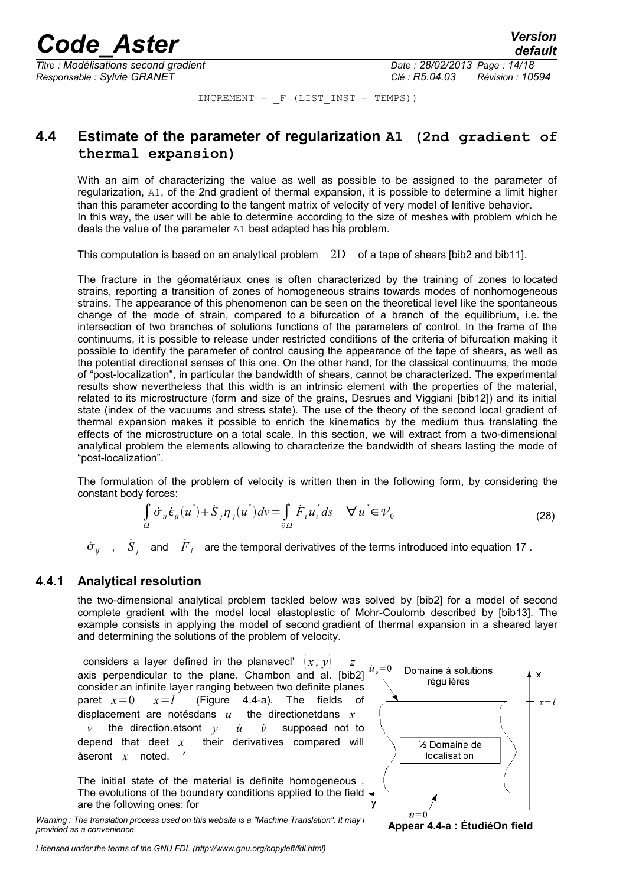*Titre : Modélisations second gradient Date : 28/02/2013 Page : 14/18 Responsable : Sylvie GRANET Clé : R5.04.03 Révision : 10594*

 $INCREMENT = F (LIST INST = TEMPS))$ 

#### <span id="page-13-1"></span>**4.4 Estimate of the parameter of regularization A1 (2nd gradient of thermal expansion)**

With an aim of characterizing the value as well as possible to be assigned to the parameter of regularization, A1, of the 2nd gradient of thermal expansion, it is possible to determine a limit higher than this parameter according to the tangent matrix of velocity of very model of lenitive behavior. In this way, the user will be able to determine according to the size of meshes with problem which he deals the value of the parameter A1 best adapted has his problem.

This computation is based on an analytical problem 2D of a tape of shears [bib2 and bib11].

The fracture in the géomatériaux ones is often characterized by the training of zones to located strains, reporting a transition of zones of homogeneous strains towards modes of nonhomogeneous strains. The appearance of this phenomenon can be seen on the theoretical level like the spontaneous change of the mode of strain, compared to a bifurcation of a branch of the equilibrium, i.e. the intersection of two branches of solutions functions of the parameters of control. In the frame of the continuums, it is possible to release under restricted conditions of the criteria of bifurcation making it possible to identify the parameter of control causing the appearance of the tape of shears, as well as the potential directional senses of this one. On the other hand, for the classical continuums, the mode of "post-localization", in particular the bandwidth of shears, cannot be characterized. The experimental results show nevertheless that this width is an intrinsic element with the properties of the material, related to its microstructure (form and size of the grains, Desrues and Viggiani [bib12]) and its initial state (index of the vacuums and stress state). The use of the theory of the second local gradient of thermal expansion makes it possible to enrich the kinematics by the medium thus translating the effects of the microstructure on a total scale. In this section, we will extract from a two-dimensional analytical problem the elements allowing to characterize the bandwidth of shears lasting the mode of "post-localization".

The formulation of the problem of velocity is written then in the following form, by considering the constant body forces:

$$
\int_{\Omega} \dot{\sigma}_{ij} \dot{\epsilon}_{ij} (u^*) + \dot{S}_{j} \eta_{j} (u^*) dv = \int_{\partial \Omega} \dot{F}_{i} u_{i}^* ds \quad \forall u^* \in \mathcal{V}_0
$$
\n(28)

 $\dot{\sigma}_{ij}$  ,  $\dot{S}_j$  and  $\dot{F}_i$  are the temporal derivatives of the terms introduced into equation [17](#page-6-1) .

#### **4.4.1 Analytical resolution**

<span id="page-13-0"></span>the two-dimensional analytical problem tackled below was solved by [bib2] for a model of second complete gradient with the model local elastoplastic of Mohr-Coulomb described by [bib13]. The example consists in applying the model of second gradient of thermal expansion in a sheared layer and determining the solutions of the problem of velocity.

considers a layer defined in the planavecl'  $(x, y)$ axis perpendicular to the plane. Chambon and al. [bib2] consider an infinite layer ranging between two definite planes paret  $x=0$   $x=l$  (Figure [4.4-a\)](#page-13-2). The fields of displacement are notésdans *u* the directionetdans *x v* the direction.etsont  $y$  *u*<sup> $i$ </sup> *v*<sup> $i$ </sup> supposed not to depend that deet  $x$  their derivatives compared will their derivatives compared will àseront *x* noted. *'*

The initial state of the material is definite homogeneous . The evolutions of the boundary conditions applied to the field  $\rightarrow$ are the following ones: for

*Warning : The translation process used on this website is a "Machine Translation". It may imprecipite in the inprovided as a convenience.*



<span id="page-13-2"></span>**Appear 4.4-a : ÉtudiéOn field**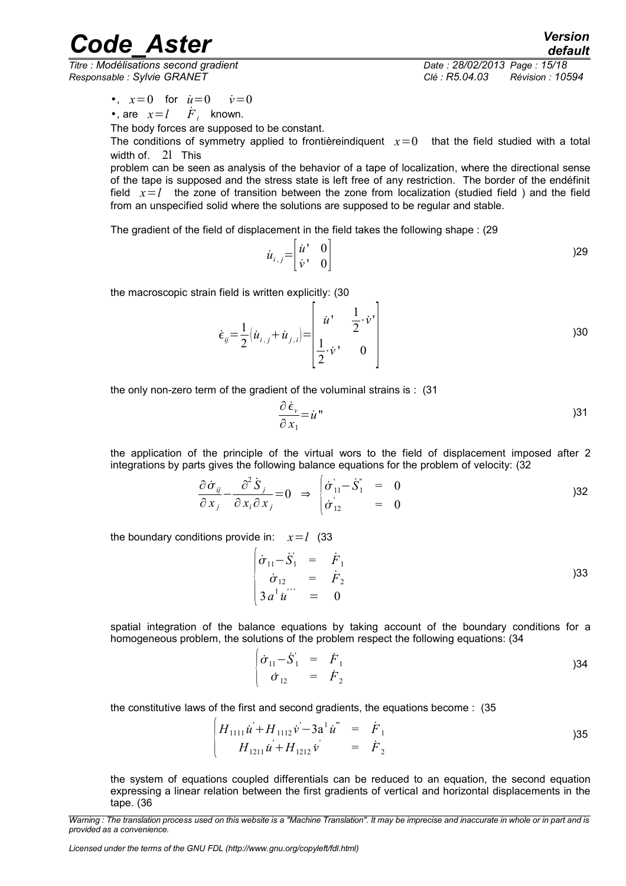*Responsable : Sylvie GRANET Clé : R5.04.03 Révision : 10594*

*default Titre : Modélisations second gradient Date : 28/02/2013 Page : 15/18*

•,  $x=0$  for  $\dot{u}=0$   $\dot{v}=0$ 

•, are  $x = l$  *F*<sub>*i*</sub> known.

The body forces are supposed to be constant.

The conditions of symmetry applied to frontièreindiquent  $x=0$  that the field studied with a total width of. 2l This

problem can be seen as analysis of the behavior of a tape of localization, where the directional sense of the tape is supposed and the stress state is left free of any restriction. The border of the endéfinit field  $x = l$  the zone of transition between the zone from localization (studied field) and the field from an unspecified solid where the solutions are supposed to be regular and stable.

The gradient of the field of displacement in the field takes the following shape : (29

$$
\dot{u}_{i,j} = \begin{bmatrix} \dot{u}^{\dagger} & 0 \\ \dot{v}^{\dagger} & 0 \end{bmatrix}
$$
 (29)

the macroscopic strain field is written explicitly: (30

$$
\dot{\epsilon}_{ij} = \frac{1}{2} (\dot{u}_{i,j} + \dot{u}_{j,i}) = \begin{bmatrix} \dot{u}^1 & \frac{1}{2} \cdot \dot{v}^1 \\ \frac{1}{2} \cdot \dot{v}^1 & 0 \end{bmatrix}
$$

h

the only non-zero term of the gradient of the voluminal strains is : (31

$$
\frac{\partial \,\dot{\epsilon}_v}{\partial \,x_1} = \dot{u}^{\,v} \tag{31}
$$

the application of the principle of the virtual wors to the field of displacement imposed after 2 integrations by parts gives the following balance equations for the problem of velocity: (32

$$
\frac{\partial \dot{\sigma}_{ij}}{\partial x_j} - \frac{\partial^2 \dot{S}_j}{\partial x_i \partial x_j} = 0 \Rightarrow \begin{cases} \dot{\sigma}_{11} - \dot{S}_1^{\prime} & = 0\\ \dot{\sigma}_{12}^{\prime} & = 0 \end{cases}
$$

the boundary conditions provide in:  $x = l$  (33)

$$
\begin{vmatrix}\n\dot{\sigma}_{11} - \dot{S}_1 &= \dot{F}_1 \\
\dot{\sigma}_{12} &= \dot{F}_2 \\
3 a^1 \dot{u}'' &= 0\n\end{vmatrix}
$$
 )33

spatial integration of the balance equations by taking account of the boundary conditions for a homogeneous problem, the solutions of the problem respect the following equations: (34

$$
\begin{vmatrix} \dot{\sigma}_{11} - \dot{S}_1' & = & \dot{F}_1 \\ \dot{\sigma}_{12} & = & \dot{F}_2 \end{vmatrix}
$$
 (34)

the constitutive laws of the first and second gradients, the equations become : (35

$$
\begin{vmatrix} H_{1111} \dot{u} + H_{1112} \dot{v} - 3a^1 \dot{u}^{\dagger} &= \dot{F}_1 \\ H_{1211} \dot{u} + H_{1212} \dot{v} &= \dot{F}_2 \end{vmatrix} \tag{35}
$$

the system of equations coupled differentials can be reduced to an equation, the second equation expressing a linear relation between the first gradients of vertical and horizontal displacements in the tape. (36

*Licensed under the terms of the GNU FDL (http://www.gnu.org/copyleft/fdl.html)*

*Warning : The translation process used on this website is a "Machine Translation". It may be imprecise and inaccurate in whole or in part and is provided as a convenience.*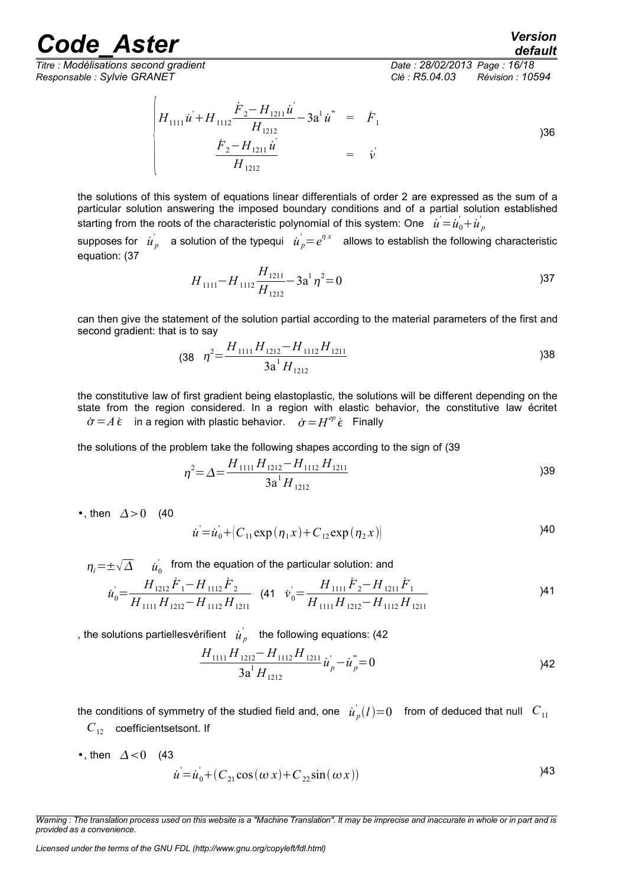*Titre : Modélisations second gradient Date : 28/02/2013 Page : 16/18 Responsable : Sylvie GRANET Clé : R5.04.03 Révision : 10594*

 $\overline{1}$ 

*default*

$$
\begin{vmatrix} H_{1111} \dot{u} + H_{1112} \frac{\dot{F}_2 - H_{1211} \dot{u}}{H_{1212}} - 3a^1 \dot{u}^{\dagger} & = & \dot{F}_1 \\ \frac{\dot{F}_2 - H_{1211} \dot{u}}{H_{1212}} & = & \dot{v} \end{vmatrix}
$$

the solutions of this system of equations linear differentials of order 2 are expressed as the sum of a particular solution answering the imposed boundary conditions and of a partial solution established starting from the roots of the characteristic polynomial of this system: One  $\left| \dot{u} \right| = \dot{u_0} + \dot{u_{_{P}}}$ 

supposes for  $\vec{u}_p$  a solution of the typequi  $\vec{u}_p = e^{\eta \, x}$  allows to establish the following characteristic equation: (37

$$
H_{1111} - H_{1112} \frac{H_{1211}}{H_{1212}} - 3a^{1} \eta^{2} = 0
$$

can then give the statement of the solution partial according to the material parameters of the first and second gradient: that is to say

$$
(38 \t \eta^2 = \frac{H_{1111} H_{1212} - H_{1112} H_{1211}}{3a^1 H_{1212}}
$$

the constitutive law of first gradient being elastoplastic, the solutions will be different depending on the state from the region considered. In a region with elastic behavior, the constitutive law écritet  $\dot{\sigma} = A \, \dot{\epsilon}$  in a region with plastic behavior.  $\dot{\sigma} = H^{ep} \, \dot{\epsilon}$  Finally

the solutions of the problem take the following shapes according to the sign of (39

$$
\eta^2 = \Delta = \frac{H_{1111} H_{1212} - H_{1112} H_{1211}}{3a^1 H_{1212}}
$$
\n(39)

•, then  $\Delta > 0$  (40)

$$
\dot{u} = \dot{u}_0 + (C_{11} \exp(\eta_1 x) + C_{12} \exp(\eta_2 x))
$$

 $\eta_{_i}$ = $\pm \sqrt{\Delta}$   $\quad$   $\dot{u}_{_0}^{\prime}$  from the equation of the particular solution: and

$$
\dot{u}_0 = \frac{H_{1212}\dot{F}_1 - H_{1112}\dot{F}_2}{H_{1111}\dot{H}_{1212} - H_{1112}\dot{H}_{1211}} \quad (41 \quad \dot{v}_0 = \frac{H_{1111}\dot{F}_2 - H_{1211}\dot{F}_1}{H_{1111}\dot{H}_{1212} - H_{1112}\dot{H}_{1211}} \tag{41}
$$

, the solutions partiellesvérifient  $\hat{u}^{\dagger}_p$  the following equations: (42

<span id="page-15-0"></span>
$$
\frac{H_{1111}H_{1212}-H_{1112}H_{1211}}{3a^1H_{1212}}\dot{u}_p - \dot{u}_p^* = 0
$$

the conditions of symmetry of the studied field and, one  $\dot{u}_p^{'}(l)$ =0 from of deduced that null  $|C_{11}|$ *C*12 coefficientsetsont. If

•, then  $\Delta < 0$  (43)  $\dot{u} = \dot{u}_0 + (C_{21} \cos(\omega x) + C_{22} \sin(\omega x))$ )43

*Warning : The translation process used on this website is a "Machine Translation". It may be imprecise and inaccurate in whole or in part and is provided as a convenience.*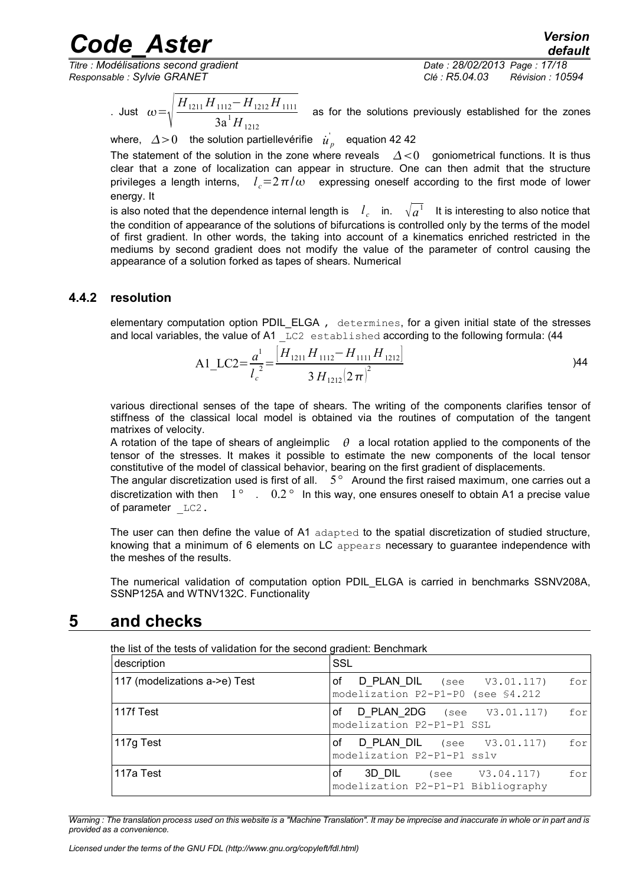# ode\_Aster<sup> *Version*<br>default *default*<br>*Codélisations second gradient Date : 28/02/2013 Page : 17/18*</sup>

 $\overline{T}$ *Titre : Modélisations second gradient Responsable : Sylvie GRANET Clé : R5.04.03 Révision : 10594*

*default*

. Just  $\omega = \sqrt{\frac{1}{1-\frac{1}{2}}}$ *H*<sub>1211</sub> *H*<sub>1112</sub>− *H*<sub>1212</sub> *H*<sub>1111</sub>  $\frac{112}{3a^1H_{1212}}$   $\frac{1212}{1111}$  as for the solutions previously established for the zones

where,  $\Delta$ >0 the solution partiellevérifie  $\left| \dot{u} \right|_p$  equation [42](#page-15-0) 42

The statement of the solution in the zone where reveals  $\Delta < 0$  goniometrical functions. It is thus clear that a zone of localization can appear in structure. One can then admit that the structure privileges a length interns,  $\;l_c^{}\!\!=\!2\,\pi/\omega\;$  expressing oneself according to the first mode of lower energy. It

is also noted that the dependence internal length is  $\quad l_c$  in.  $\quad \sqrt{a}^1$  It is interesting to also notice that the condition of appearance of the solutions of bifurcations is controlled only by the terms of the model of first gradient. In other words, the taking into account of a kinematics enriched restricted in the mediums by second gradient does not modify the value of the parameter of control causing the appearance of a solution forked as tapes of shears. Numerical

#### **4.4.2 resolution**

<span id="page-16-1"></span>elementary computation option PDIL\_ELGA , determines, for a given initial state of the stresses and local variables, the value of A1 LC2 established according to the following formula: (44

A1\_LC2=
$$
\frac{a^1}{l_c^2}
$$
= $\frac{[H_{1211}H_{1112}-H_{1111}H_{1212}]}{3H_{1212}(2\pi)^2}$ 

various directional senses of the tape of shears. The writing of the components clarifies tensor of stiffness of the classical local model is obtained via the routines of computation of the tangent matrixes of velocity.

A rotation of the tape of shears of angleimplic  $\theta$  a local rotation applied to the components of the tensor of the stresses. It makes it possible to estimate the new components of the local tensor constitutive of the model of classical behavior, bearing on the first gradient of displacements.

The angular discretization used is first of all. 5*°* Around the first raised maximum, one carries out a discretization with then 1*°* . 0.2 *°* In this way, one ensures oneself to obtain A1 a precise value of parameter  $LC2$ .

The user can then define the value of A1 adapted to the spatial discretization of studied structure, knowing that a minimum of 6 elements on LC appears necessary to guarantee independence with the meshes of the results.

The numerical validation of computation option PDIL\_ELGA is carried in benchmarks SSNV208A, SSNP125A and WTNV132C. Functionality

#### **5 and checks**

<span id="page-16-0"></span>

| the list of the tests of validation for the second gradient: Benchmark<br>SSL<br>description |                                                                                  |  |  |
|----------------------------------------------------------------------------------------------|----------------------------------------------------------------------------------|--|--|
| 117 (modelizations a->e) Test                                                                | D PLAN_DIL (see V3.01.117)<br>οf<br>for<br>modelization P2-P1-P0 (see \$4.212    |  |  |
| 117f Test                                                                                    | <b>D PLAN 2DG</b> (see $V3.01.117$ )<br>οf<br>for<br>modelization P2-P1-P1 SSL   |  |  |
| 117g Test                                                                                    | <b>D PLAN_DIL</b> (see V3.01.117)<br>of<br>for<br>modelization P2-P1-P1 sslv     |  |  |
| 117a Test                                                                                    | οf<br><b>3D DIL</b> (see V3.04.117)<br>for<br>modelization P2-P1-P1 Bibliography |  |  |